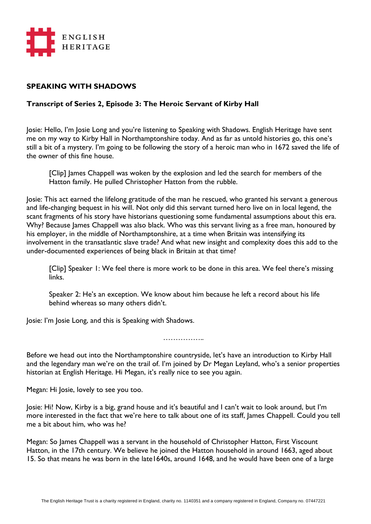

## **SPEAKING WITH SHADOWS**

## **Transcript of Series 2, Episode 3: The Heroic Servant of Kirby Hall**

Josie: Hello, I'm Josie Long and you're listening to Speaking with Shadows. English Heritage have sent me on my way to Kirby Hall in Northamptonshire today. And as far as untold histories go, this one's still a bit of a mystery. I'm going to be following the story of a heroic man who in 1672 saved the life of the owner of this fine house.

[Clip] James Chappell was woken by the explosion and led the search for members of the Hatton family. He pulled Christopher Hatton from the rubble.

Josie: This act earned the lifelong gratitude of the man he rescued, who granted his servant a generous and life-changing bequest in his will. Not only did this servant turned hero live on in local legend, the scant fragments of his story have historians questioning some fundamental assumptions about this era. Why? Because James Chappell was also black. Who was this servant living as a free man, honoured by his employer, in the middle of Northamptonshire, at a time when Britain was intensifying its involvement in the transatlantic slave trade? And what new insight and complexity does this add to the under-documented experiences of being black in Britain at that time?

[Clip] Speaker 1: We feel there is more work to be done in this area. We feel there's missing links.

Speaker 2: He's an exception. We know about him because he left a record about his life behind whereas so many others didn't.

Josie: I'm Josie Long, and this is Speaking with Shadows.

……………

Before we head out into the Northamptonshire countryside, let's have an introduction to Kirby Hall and the legendary man we're on the trail of. I'm joined by Dr Megan Leyland, who's a senior properties historian at English Heritage. Hi Megan, it's really nice to see you again.

Megan: Hi Josie, lovely to see you too.

Josie: Hi! Now, Kirby is a big, grand house and it's beautiful and I can't wait to look around, but I'm more interested in the fact that we're here to talk about one of its staff, James Chappell. Could you tell me a bit about him, who was he?

Megan: So James Chappell was a servant in the household of Christopher Hatton, First Viscount Hatton, in the 17th century. We believe he joined the Hatton household in around 1663, aged about 15. So that means he was born in the late1640s, around 1648, and he would have been one of a large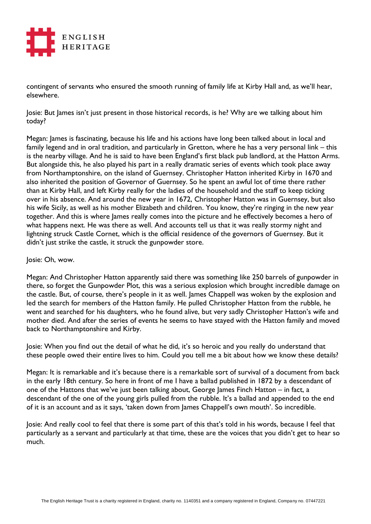

contingent of servants who ensured the smooth running of family life at Kirby Hall and, as we'll hear, elsewhere.

Josie: But James isn't just present in those historical records, is he? Why are we talking about him today?

Megan: James is fascinating, because his life and his actions have long been talked about in local and family legend and in oral tradition, and particularly in Gretton, where he has a very personal link – this is the nearby village. And he is said to have been England's first black pub landlord, at the Hatton Arms. But alongside this, he also played his part in a really dramatic series of events which took place away from Northamptonshire, on the island of Guernsey. Christopher Hatton inherited Kirby in 1670 and also inherited the position of Governor of Guernsey. So he spent an awful lot of time there rather than at Kirby Hall, and left Kirby really for the ladies of the household and the staff to keep ticking over in his absence. And around the new year in 1672, Christopher Hatton was in Guernsey, but also his wife Sicily, as well as his mother Elizabeth and children. You know, they're ringing in the new year together. And this is where James really comes into the picture and he effectively becomes a hero of what happens next. He was there as well. And accounts tell us that it was really stormy night and lightning struck Castle Cornet, which is the official residence of the governors of Guernsey. But it didn't just strike the castle, it struck the gunpowder store.

## Josie: Oh, wow.

Megan: And Christopher Hatton apparently said there was something like 250 barrels of gunpowder in there, so forget the Gunpowder Plot, this was a serious explosion which brought incredible damage on the castle. But, of course, there's people in it as well. James Chappell was woken by the explosion and led the search for members of the Hatton family. He pulled Christopher Hatton from the rubble, he went and searched for his daughters, who he found alive, but very sadly Christopher Hatton's wife and mother died. And after the series of events he seems to have stayed with the Hatton family and moved back to Northamptonshire and Kirby.

Josie: When you find out the detail of what he did, it's so heroic and you really do understand that these people owed their entire lives to him. Could you tell me a bit about how we know these details?

Megan: It is remarkable and it's because there is a remarkable sort of survival of a document from back in the early 18th century. So here in front of me I have a ballad published in 1872 by a descendant of one of the Hattons that we've just been talking about, George James Finch Hatton – in fact, a descendant of the one of the young girls pulled from the rubble. It's a ballad and appended to the end of it is an account and as it says, 'taken down from James Chappell's own mouth'. So incredible.

Josie: And really cool to feel that there is some part of this that's told in his words, because I feel that particularly as a servant and particularly at that time, these are the voices that you didn't get to hear so much.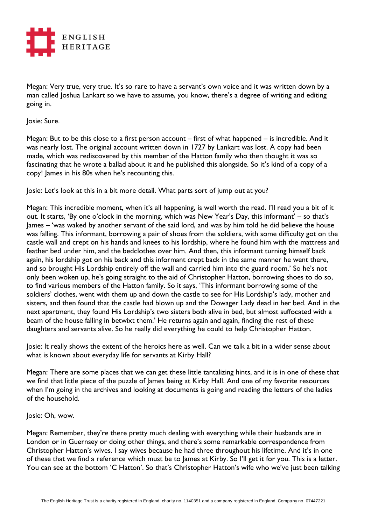

Megan: Very true, very true. It's so rare to have a servant's own voice and it was written down by a man called Joshua Lankart so we have to assume, you know, there's a degree of writing and editing going in.

Josie: Sure.

Megan: But to be this close to a first person account – first of what happened – is incredible. And it was nearly lost. The original account written down in 1727 by Lankart was lost. A copy had been made, which was rediscovered by this member of the Hatton family who then thought it was so fascinating that he wrote a ballad about it and he published this alongside. So it's kind of a copy of a copy! James in his 80s when he's recounting this.

Josie: Let's look at this in a bit more detail. What parts sort of jump out at you?

Megan: This incredible moment, when it's all happening, is well worth the read. I'll read you a bit of it out. It starts, 'By one o'clock in the morning, which was New Year's Day, this informant' – so that's James – 'was waked by another servant of the said lord, and was by him told he did believe the house was falling. This informant, borrowing a pair of shoes from the soldiers, with some difficulty got on the castle wall and crept on his hands and knees to his lordship, where he found him with the mattress and feather bed under him, and the bedclothes over him. And then, this informant turning himself back again, his lordship got on his back and this informant crept back in the same manner he went there, and so brought His Lordship entirely off the wall and carried him into the guard room.' So he's not only been woken up, he's going straight to the aid of Christopher Hatton, borrowing shoes to do so, to find various members of the Hatton family. So it says, 'This informant borrowing some of the soldiers' clothes, went with them up and down the castle to see for His Lordship's lady, mother and sisters, and then found that the castle had blown up and the Dowager Lady dead in her bed. And in the next apartment, they found His Lordship's two sisters both alive in bed, but almost suffocated with a beam of the house falling in betwixt them.' He returns again and again, finding the rest of these daughters and servants alive. So he really did everything he could to help Christopher Hatton.

Josie: It really shows the extent of the heroics here as well. Can we talk a bit in a wider sense about what is known about everyday life for servants at Kirby Hall?

Megan: There are some places that we can get these little tantalizing hints, and it is in one of these that we find that little piece of the puzzle of James being at Kirby Hall. And one of my favorite resources when I'm going in the archives and looking at documents is going and reading the letters of the ladies of the household.

Josie: Oh, wow.

Megan: Remember, they're there pretty much dealing with everything while their husbands are in London or in Guernsey or doing other things, and there's some remarkable correspondence from Christopher Hatton's wives. I say wives because he had three throughout his lifetime. And it's in one of these that we find a reference which must be to James at Kirby. So I'll get it for you. This is a letter. You can see at the bottom 'C Hatton'. So that's Christopher Hatton's wife who we've just been talking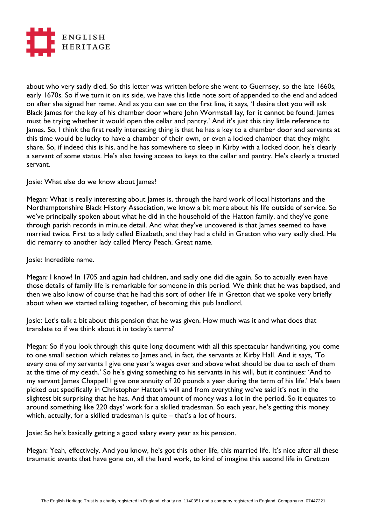

about who very sadly died. So this letter was written before she went to Guernsey, so the late 1660s, early 1670s. So if we turn it on its side, we have this little note sort of appended to the end and added on after she signed her name. And as you can see on the first line, it says, 'I desire that you will ask Black James for the key of his chamber door where John Wormstall lay, for it cannot be found. James must be trying whether it would open the cellar and pantry.' And it's just this tiny little reference to James. So, I think the first really interesting thing is that he has a key to a chamber door and servants at this time would be lucky to have a chamber of their own, or even a locked chamber that they might share. So, if indeed this is his, and he has somewhere to sleep in Kirby with a locked door, he's clearly a servant of some status. He's also having access to keys to the cellar and pantry. He's clearly a trusted servant.

Josie: What else do we know about James?

Megan: What is really interesting about James is, through the hard work of local historians and the Northamptonshire Black History Association, we know a bit more about his life outside of service. So we've principally spoken about what he did in the household of the Hatton family, and they've gone through parish records in minute detail. And what they've uncovered is that James seemed to have married twice. First to a lady called Elizabeth, and they had a child in Gretton who very sadly died. He did remarry to another lady called Mercy Peach. Great name.

Josie: Incredible name.

Megan: I know! In 1705 and again had children, and sadly one did die again. So to actually even have those details of family life is remarkable for someone in this period. We think that he was baptised, and then we also know of course that he had this sort of other life in Gretton that we spoke very briefly about when we started talking together, of becoming this pub landlord.

Josie: Let's talk a bit about this pension that he was given. How much was it and what does that translate to if we think about it in today's terms?

Megan: So if you look through this quite long document with all this spectacular handwriting, you come to one small section which relates to James and, in fact, the servants at Kirby Hall. And it says, 'To every one of my servants I give one year's wages over and above what should be due to each of them at the time of my death.' So he's giving something to his servants in his will, but it continues: 'And to my servant James Chappell I give one annuity of 20 pounds a year during the term of his life.' He's been picked out specifically in Christopher Hatton's will and from everything we've said it's not in the slightest bit surprising that he has. And that amount of money was a lot in the period. So it equates to around something like 220 days' work for a skilled tradesman. So each year, he's getting this money which, actually, for a skilled tradesman is quite – that's a lot of hours.

Josie: So he's basically getting a good salary every year as his pension.

Megan: Yeah, effectively. And you know, he's got this other life, this married life. It's nice after all these traumatic events that have gone on, all the hard work, to kind of imagine this second life in Gretton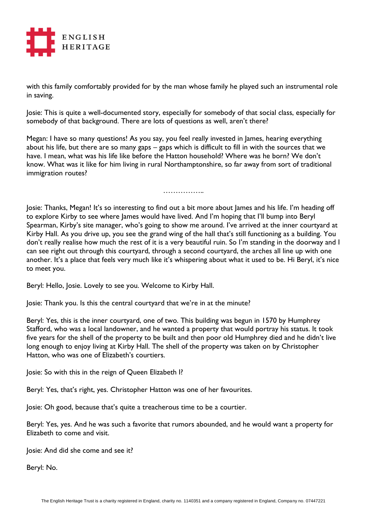

with this family comfortably provided for by the man whose family he played such an instrumental role in saving.

Josie: This is quite a well-documented story, especially for somebody of that social class, especially for somebody of that background. There are lots of questions as well, aren't there?

Megan: I have so many questions! As you say, you feel really invested in James, hearing everything about his life, but there are so many gaps – gaps which is difficult to fill in with the sources that we have. I mean, what was his life like before the Hatton household? Where was he born? We don't know. What was it like for him living in rural Northamptonshire, so far away from sort of traditional immigration routes?

…………………………

Josie: Thanks, Megan! It's so interesting to find out a bit more about James and his life. I'm heading off to explore Kirby to see where James would have lived. And I'm hoping that I'll bump into Beryl Spearman, Kirby's site manager, who's going to show me around. I've arrived at the inner courtyard at Kirby Hall. As you drive up, you see the grand wing of the hall that's still functioning as a building. You don't really realise how much the rest of it is a very beautiful ruin. So I'm standing in the doorway and I can see right out through this courtyard, through a second courtyard, the arches all line up with one another. It's a place that feels very much like it's whispering about what it used to be. Hi Beryl, it's nice to meet you.

Beryl: Hello, Josie. Lovely to see you. Welcome to Kirby Hall.

Josie: Thank you. Is this the central courtyard that we're in at the minute?

Beryl: Yes, this is the inner courtyard, one of two. This building was begun in 1570 by Humphrey Stafford, who was a local landowner, and he wanted a property that would portray his status. It took five years for the shell of the property to be built and then poor old Humphrey died and he didn't live long enough to enjoy living at Kirby Hall. The shell of the property was taken on by Christopher Hatton, who was one of Elizabeth's courtiers.

Josie: So with this in the reign of Queen Elizabeth I?

Beryl: Yes, that's right, yes. Christopher Hatton was one of her favourites.

Josie: Oh good, because that's quite a treacherous time to be a courtier.

Beryl: Yes, yes. And he was such a favorite that rumors abounded, and he would want a property for Elizabeth to come and visit.

Josie: And did she come and see it?

Beryl: No.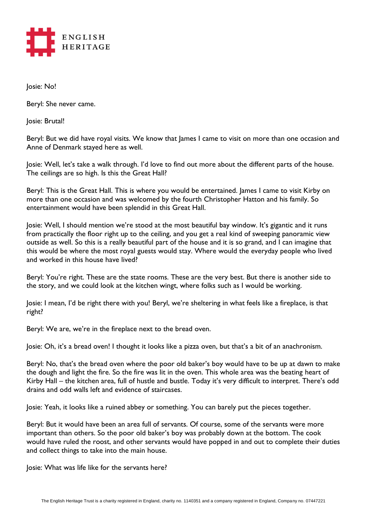

Josie: No!

Beryl: She never came.

Josie: Brutal!

Beryl: But we did have royal visits. We know that James I came to visit on more than one occasion and Anne of Denmark stayed here as well.

Josie: Well, let's take a walk through. I'd love to find out more about the different parts of the house. The ceilings are so high. Is this the Great Hall?

Beryl: This is the Great Hall. This is where you would be entertained. James I came to visit Kirby on more than one occasion and was welcomed by the fourth Christopher Hatton and his family. So entertainment would have been splendid in this Great Hall.

Josie: Well, I should mention we're stood at the most beautiful bay window. It's gigantic and it runs from practically the floor right up to the ceiling, and you get a real kind of sweeping panoramic view outside as well. So this is a really beautiful part of the house and it is so grand, and I can imagine that this would be where the most royal guests would stay. Where would the everyday people who lived and worked in this house have lived?

Beryl: You're right. These are the state rooms. These are the very best. But there is another side to the story, and we could look at the kitchen wingt, where folks such as I would be working.

Josie: I mean, I'd be right there with you! Beryl, we're sheltering in what feels like a fireplace, is that right?

Beryl: We are, we're in the fireplace next to the bread oven.

Josie: Oh, it's a bread oven! I thought it looks like a pizza oven, but that's a bit of an anachronism.

Beryl: No, that's the bread oven where the poor old baker's boy would have to be up at dawn to make the dough and light the fire. So the fire was lit in the oven. This whole area was the beating heart of Kirby Hall – the kitchen area, full of hustle and bustle. Today it's very difficult to interpret. There's odd drains and odd walls left and evidence of staircases.

Josie: Yeah, it looks like a ruined abbey or something. You can barely put the pieces together.

Beryl: But it would have been an area full of servants. Of course, some of the servants were more important than others. So the poor old baker's boy was probably down at the bottom. The cook would have ruled the roost, and other servants would have popped in and out to complete their duties and collect things to take into the main house.

Josie: What was life like for the servants here?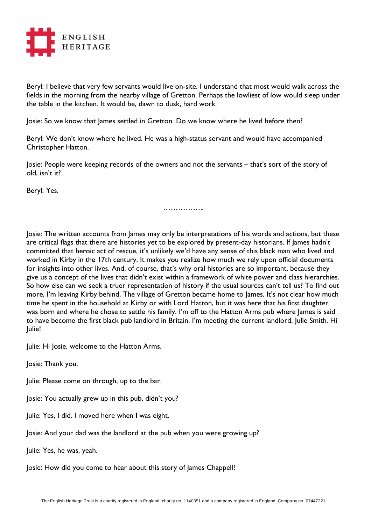

Beryl: I believe that very few servants would live on-site. I understand that most would walk across the fields in the morning from the nearby village of Gretton. Perhaps the lowliest of low would sleep under the table in the kitchen. It would be, dawn to dusk, hard work.

Josie: So we know that James settled in Gretton. Do we know where he lived before then?

Beryl: We don't know where he lived. He was a high-status servant and would have accompanied Christopher Hatton.

Josie: People were keeping records of the owners and not the servants – that's sort of the story of old, isn't it?

Beryl: Yes.

……………..

Josie: The written accounts from James may only be interpretations of his words and actions, but these are critical flags that there are histories yet to be explored by present-day historians. If James hadn't committed that heroic act of rescue, it's unlikely we'd have any sense of this black man who lived and worked in Kirby in the 17th century. It makes you realize how much we rely upon official documents for insights into other lives. And, of course, that's why oral histories are so important, because they give us a concept of the lives that didn't exist within a framework of white power and class hierarchies. So how else can we seek a truer representation of history if the usual sources can't tell us? To find out more, I'm leaving Kirby behind. The village of Gretton became home to James. It's not clear how much time he spent in the household at Kirby or with Lord Hatton, but it was here that his first daughter was born and where he chose to settle his family. I'm off to the Hatton Arms pub where James is said to have become the first black pub landlord in Britain. I'm meeting the current landlord, Julie Smith. Hi Julie!

Julie: Hi Josie, welcome to the Hatton Arms.

Josie: Thank you.

Julie: Please come on through, up to the bar.

Josie: You actually grew up in this pub, didn't you?

Julie: Yes, I did. I moved here when I was eight.

Josie: And your dad was the landlord at the pub when you were growing up?

Julie: Yes, he was, yeah.

Josie: How did you come to hear about this story of James Chappell?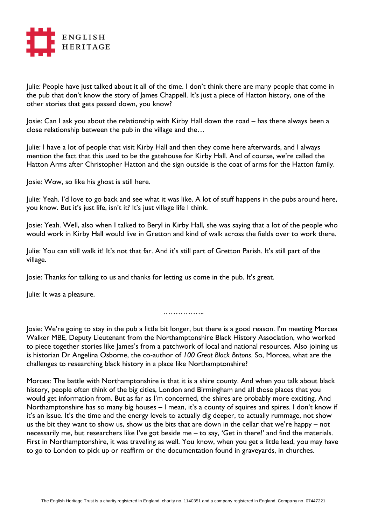

Julie: People have just talked about it all of the time. I don't think there are many people that come in the pub that don't know the story of James Chappell. It's just a piece of Hatton history, one of the other stories that gets passed down, you know?

Josie: Can I ask you about the relationship with Kirby Hall down the road – has there always been a close relationship between the pub in the village and the…

Julie: I have a lot of people that visit Kirby Hall and then they come here afterwards, and I always mention the fact that this used to be the gatehouse for Kirby Hall. And of course, we're called the Hatton Arms after Christopher Hatton and the sign outside is the coat of arms for the Hatton family.

Josie: Wow, so like his ghost is still here.

Julie: Yeah. I'd love to go back and see what it was like. A lot of stuff happens in the pubs around here, you know. But it's just life, isn't it? It's just village life I think.

Josie: Yeah. Well, also when I talked to Beryl in Kirby Hall, she was saying that a lot of the people who would work in Kirby Hall would live in Gretton and kind of walk across the fields over to work there.

Julie: You can still walk it! It's not that far. And it's still part of Gretton Parish. It's still part of the village.

Josie: Thanks for talking to us and thanks for letting us come in the pub. It's great.

Julie: It was a pleasure.

……………

Josie: We're going to stay in the pub a little bit longer, but there is a good reason. I'm meeting Morcea Walker MBE, Deputy Lieutenant from the Northamptonshire Black History Association, who worked to piece together stories like James's from a patchwork of local and national resources. Also joining us is historian Dr Angelina Osborne, the co-author of *100 Great Black Britons*. So, Morcea, what are the challenges to researching black history in a place like Northamptonshire?

Morcea: The battle with Northamptonshire is that it is a shire county. And when you talk about black history, people often think of the big cities, London and Birmingham and all those places that you would get information from. But as far as I'm concerned, the shires are probably more exciting. And Northamptonshire has so many big houses – I mean, it's a county of squires and spires. I don't know if it's an issue. It's the time and the energy levels to actually dig deeper, to actually rummage, not show us the bit they want to show us, show us the bits that are down in the cellar that we're happy – not necessarily me, but researchers like I've got beside me – to say, 'Get in there!' and find the materials. First in Northamptonshire, it was traveling as well. You know, when you get a little lead, you may have to go to London to pick up or reaffirm or the documentation found in graveyards, in churches.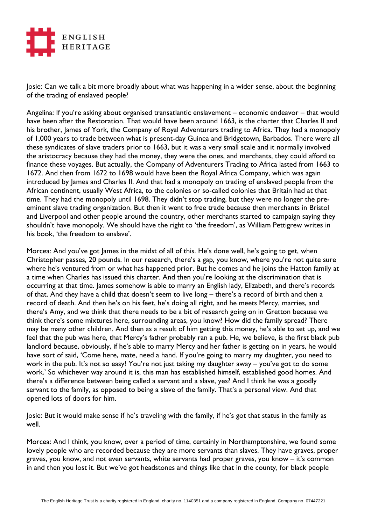

Josie: Can we talk a bit more broadly about what was happening in a wider sense, about the beginning of the trading of enslaved people?

Angelina: If you're asking about organised transatlantic enslavement – economic endeavor – that would have been after the Restoration. That would have been around 1663, is the charter that Charles II and his brother, James of York, the Company of Royal Adventurers trading to Africa. They had a monopoly of 1,000 years to trade between what is present-day Guinea and Bridgetown, Barbados. There were all these syndicates of slave traders prior to 1663, but it was a very small scale and it normally involved the aristocracy because they had the money, they were the ones, and merchants, they could afford to finance these voyages. But actually, the Company of Adventurers Trading to Africa lasted from 1663 to 1672. And then from 1672 to 1698 would have been the Royal Africa Company, which was again introduced by James and Charles II. And that had a monopoly on trading of enslaved people from the African continent, usually West Africa, to the colonies or so-called colonies that Britain had at that time. They had the monopoly until 1698. They didn't stop trading, but they were no longer the preeminent slave trading organization. But then it went to free trade because then merchants in Bristol and Liverpool and other people around the country, other merchants started to campaign saying they shouldn't have monopoly. We should have the right to 'the freedom', as William Pettigrew writes in his book, 'the freedom to enslave'.

Morcea: And you've got James in the midst of all of this. He's done well, he's going to get, when Christopher passes, 20 pounds. In our research, there's a gap, you know, where you're not quite sure where he's ventured from or what has happened prior. But he comes and he joins the Hatton family at a time when Charles has issued this charter. And then you're looking at the discrimination that is occurring at that time. James somehow is able to marry an English lady, Elizabeth, and there's records of that. And they have a child that doesn't seem to live long – there's a record of birth and then a record of death. And then he's on his feet, he's doing all right, and he meets Mercy, marries, and there's Amy, and we think that there needs to be a bit of research going on in Gretton because we think there's some mixtures here, surrounding areas, you know? How did the family spread? There may be many other children. And then as a result of him getting this money, he's able to set up, and we feel that the pub was here, that Mercy's father probably ran a pub. He, we believe, is the first black pub landlord because, obviously, if he's able to marry Mercy and her father is getting on in years, he would have sort of said, 'Come here, mate, need a hand. If you're going to marry my daughter, you need to work in the pub. It's not so easy! You're not just taking my daughter away – you've got to do some work.' So whichever way around it is, this man has established himself, established good homes. And there's a difference between being called a servant and a slave, yes? And I think he was a goodly servant to the family, as opposed to being a slave of the family. That's a personal view. And that opened lots of doors for him.

Josie: But it would make sense if he's traveling with the family, if he's got that status in the family as well.

Morcea: And I think, you know, over a period of time, certainly in Northamptonshire, we found some lovely people who are recorded because they are more servants than slaves. They have graves, proper graves, you know, and not even servants, white servants had proper graves, you know – it's common in and then you lost it. But we've got headstones and things like that in the county, for black people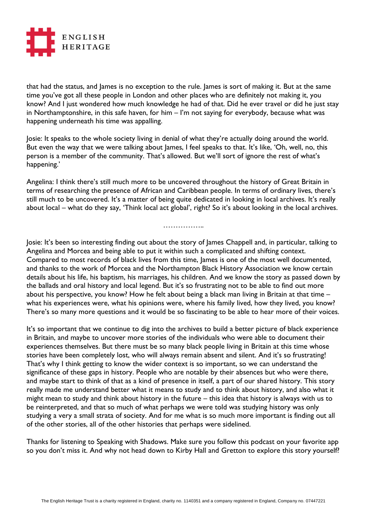

that had the status, and James is no exception to the rule. James is sort of making it. But at the same time you've got all these people in London and other places who are definitely not making it, you know? And I just wondered how much knowledge he had of that. Did he ever travel or did he just stay in Northamptonshire, in this safe haven, for him – I'm not saying for everybody, because what was happening underneath his time was appalling.

Josie: It speaks to the whole society living in denial of what they're actually doing around the world. But even the way that we were talking about James, I feel speaks to that. It's like, 'Oh, well, no, this person is a member of the community. That's allowed. But we'll sort of ignore the rest of what's happening.'

Angelina: I think there's still much more to be uncovered throughout the history of Great Britain in terms of researching the presence of African and Caribbean people. In terms of ordinary lives, there's still much to be uncovered. It's a matter of being quite dedicated in looking in local archives. It's really about local – what do they say, 'Think local act global', right? So it's about looking in the local archives.

## ……………

Josie: It's been so interesting finding out about the story of James Chappell and, in particular, talking to Angelina and Morcea and being able to put it within such a complicated and shifting context. Compared to most records of black lives from this time, James is one of the most well documented, and thanks to the work of Morcea and the Northampton Black History Association we know certain details about his life, his baptism, his marriages, his children. And we know the story as passed down by the ballads and oral history and local legend. But it's so frustrating not to be able to find out more about his perspective, you know? How he felt about being a black man living in Britain at that time – what his experiences were, what his opinions were, where his family lived, how they lived, you know? There's so many more questions and it would be so fascinating to be able to hear more of their voices.

It's so important that we continue to dig into the archives to build a better picture of black experience in Britain, and maybe to uncover more stories of the individuals who were able to document their experiences themselves. But there must be so many black people living in Britain at this time whose stories have been completely lost, who will always remain absent and silent. And it's so frustrating! That's why I think getting to know the wider context is so important, so we can understand the significance of these gaps in history. People who are notable by their absences but who were there, and maybe start to think of that as a kind of presence in itself, a part of our shared history. This story really made me understand better what it means to study and to think about history, and also what it might mean to study and think about history in the future – this idea that history is always with us to be reinterpreted, and that so much of what perhaps we were told was studying history was only studying a very a small strata of society. And for me what is so much more important is finding out all of the other stories, all of the other histories that perhaps were sidelined.

Thanks for listening to Speaking with Shadows. Make sure you follow this podcast on your favorite app so you don't miss it. And why not head down to Kirby Hall and Gretton to explore this story yourself?